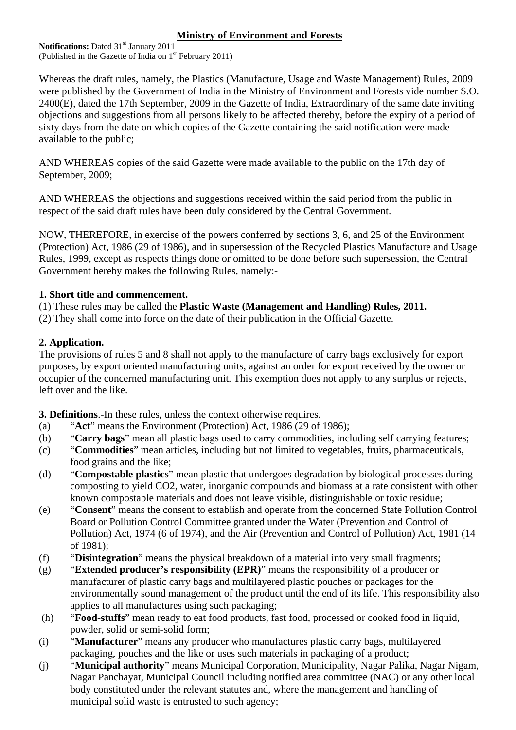## **Ministry of Environment and Forests**

**Notifications:** Dated 31<sup>st</sup> January 2011 (Published in the Gazette of India on  $1<sup>st</sup>$  February 2011)

Whereas the draft rules, namely, the Plastics (Manufacture, Usage and Waste Management) Rules, 2009 were published by the Government of India in the Ministry of Environment and Forests vide number S.O. 2400(E), dated the 17th September, 2009 in the Gazette of India, Extraordinary of the same date inviting objections and suggestions from all persons likely to be affected thereby, before the expiry of a period of sixty days from the date on which copies of the Gazette containing the said notification were made available to the public;

AND WHEREAS copies of the said Gazette were made available to the public on the 17th day of September, 2009;

AND WHEREAS the objections and suggestions received within the said period from the public in respect of the said draft rules have been duly considered by the Central Government.

NOW, THEREFORE, in exercise of the powers conferred by sections 3, 6, and 25 of the Environment (Protection) Act, 1986 (29 of 1986), and in supersession of the Recycled Plastics Manufacture and Usage Rules, 1999, except as respects things done or omitted to be done before such supersession, the Central Government hereby makes the following Rules, namely:-

## **1. Short title and commencement.**

(1) These rules may be called the **Plastic Waste (Management and Handling) Rules, 2011.** 

(2) They shall come into force on the date of their publication in the Official Gazette.

## **2. Application.**

The provisions of rules 5 and 8 shall not apply to the manufacture of carry bags exclusively for export purposes, by export oriented manufacturing units, against an order for export received by the owner or occupier of the concerned manufacturing unit. This exemption does not apply to any surplus or rejects, left over and the like.

**3. Definitions**.-In these rules, unless the context otherwise requires.

- (a) "**Act**" means the Environment (Protection) Act, 1986 (29 of 1986);
- (b) "**Carry bags**" mean all plastic bags used to carry commodities, including self carrying features;
- (c) "**Commodities**" mean articles, including but not limited to vegetables, fruits, pharmaceuticals, food grains and the like;
- (d) "**Compostable plastics**" mean plastic that undergoes degradation by biological processes during composting to yield CO2, water, inorganic compounds and biomass at a rate consistent with other known compostable materials and does not leave visible, distinguishable or toxic residue;
- (e) "**Consent**" means the consent to establish and operate from the concerned State Pollution Control Board or Pollution Control Committee granted under the Water (Prevention and Control of Pollution) Act, 1974 (6 of 1974), and the Air (Prevention and Control of Pollution) Act, 1981 (14 of 1981);
- (f) "**Disintegration**" means the physical breakdown of a material into very small fragments;
- (g) "**Extended producer's responsibility (EPR)**" means the responsibility of a producer or manufacturer of plastic carry bags and multilayered plastic pouches or packages for the environmentally sound management of the product until the end of its life. This responsibility also applies to all manufactures using such packaging;
- (h) "**Food-stuffs**" mean ready to eat food products, fast food, processed or cooked food in liquid, powder, solid or semi-solid form;
- (i) "**Manufacturer**" means any producer who manufactures plastic carry bags, multilayered packaging, pouches and the like or uses such materials in packaging of a product;
- (j) "**Municipal authority**" means Municipal Corporation, Municipality, Nagar Palika, Nagar Nigam, Nagar Panchayat, Municipal Council including notified area committee (NAC) or any other local body constituted under the relevant statutes and, where the management and handling of municipal solid waste is entrusted to such agency;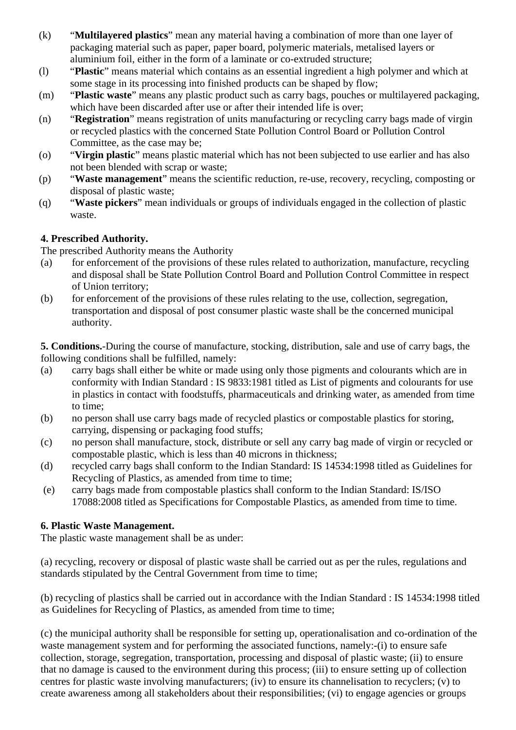- (k) "**Multilayered plastics**" mean any material having a combination of more than one layer of packaging material such as paper, paper board, polymeric materials, metalised layers or aluminium foil, either in the form of a laminate or co-extruded structure;
- (l) "**Plastic**" means material which contains as an essential ingredient a high polymer and which at some stage in its processing into finished products can be shaped by flow;
- (m) "**Plastic waste**" means any plastic product such as carry bags, pouches or multilayered packaging, which have been discarded after use or after their intended life is over;
- (n) "**Registration**" means registration of units manufacturing or recycling carry bags made of virgin or recycled plastics with the concerned State Pollution Control Board or Pollution Control Committee, as the case may be;
- (o) "**Virgin plastic**" means plastic material which has not been subjected to use earlier and has also not been blended with scrap or waste;
- (p) "**Waste management**" means the scientific reduction, re-use, recovery, recycling, composting or disposal of plastic waste;
- (q) "**Waste pickers**" mean individuals or groups of individuals engaged in the collection of plastic waste.

# **4. Prescribed Authority.**

The prescribed Authority means the Authority

- (a) for enforcement of the provisions of these rules related to authorization, manufacture, recycling and disposal shall be State Pollution Control Board and Pollution Control Committee in respect of Union territory;
- (b) for enforcement of the provisions of these rules relating to the use, collection, segregation, transportation and disposal of post consumer plastic waste shall be the concerned municipal authority.

**5. Conditions.**-During the course of manufacture, stocking, distribution, sale and use of carry bags, the following conditions shall be fulfilled, namely:

- (a) carry bags shall either be white or made using only those pigments and colourants which are in conformity with Indian Standard : IS 9833:1981 titled as List of pigments and colourants for use in plastics in contact with foodstuffs, pharmaceuticals and drinking water, as amended from time to time;
- (b) no person shall use carry bags made of recycled plastics or compostable plastics for storing, carrying, dispensing or packaging food stuffs;
- (c) no person shall manufacture, stock, distribute or sell any carry bag made of virgin or recycled or compostable plastic, which is less than 40 microns in thickness;
- (d) recycled carry bags shall conform to the Indian Standard: IS 14534:1998 titled as Guidelines for Recycling of Plastics, as amended from time to time;
- (e) carry bags made from compostable plastics shall conform to the Indian Standard: IS/ISO 17088:2008 titled as Specifications for Compostable Plastics, as amended from time to time.

# **6. Plastic Waste Management.**

The plastic waste management shall be as under:

(a) recycling, recovery or disposal of plastic waste shall be carried out as per the rules, regulations and standards stipulated by the Central Government from time to time;

(b) recycling of plastics shall be carried out in accordance with the Indian Standard : IS 14534:1998 titled as Guidelines for Recycling of Plastics, as amended from time to time;

(c) the municipal authority shall be responsible for setting up, operationalisation and co-ordination of the waste management system and for performing the associated functions, namely:-(i) to ensure safe collection, storage, segregation, transportation, processing and disposal of plastic waste; (ii) to ensure that no damage is caused to the environment during this process; (iii) to ensure setting up of collection centres for plastic waste involving manufacturers; (iv) to ensure its channelisation to recyclers; (v) to create awareness among all stakeholders about their responsibilities; (vi) to engage agencies or groups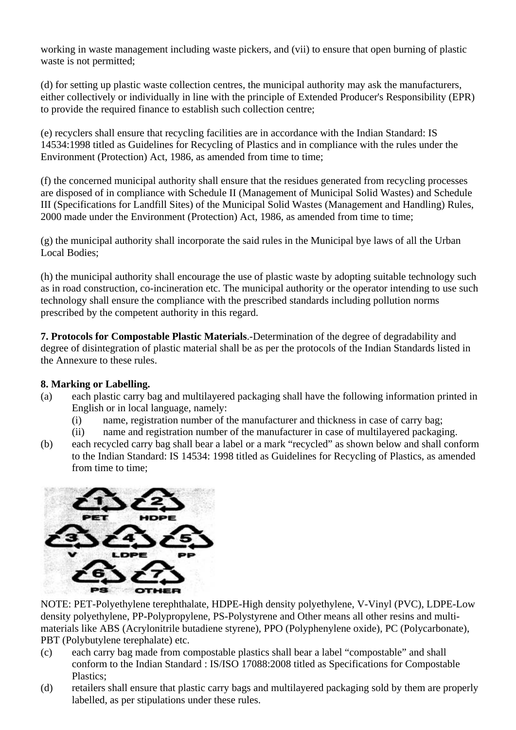working in waste management including waste pickers, and (vii) to ensure that open burning of plastic waste is not permitted;

(d) for setting up plastic waste collection centres, the municipal authority may ask the manufacturers, either collectively or individually in line with the principle of Extended Producer's Responsibility (EPR) to provide the required finance to establish such collection centre;

(e) recyclers shall ensure that recycling facilities are in accordance with the Indian Standard: IS 14534:1998 titled as Guidelines for Recycling of Plastics and in compliance with the rules under the Environment (Protection) Act, 1986, as amended from time to time;

(f) the concerned municipal authority shall ensure that the residues generated from recycling processes are disposed of in compliance with Schedule II (Management of Municipal Solid Wastes) and Schedule III (Specifications for Landfill Sites) of the Municipal Solid Wastes (Management and Handling) Rules, 2000 made under the Environment (Protection) Act, 1986, as amended from time to time;

(g) the municipal authority shall incorporate the said rules in the Municipal bye laws of all the Urban Local Bodies;

(h) the municipal authority shall encourage the use of plastic waste by adopting suitable technology such as in road construction, co-incineration etc. The municipal authority or the operator intending to use such technology shall ensure the compliance with the prescribed standards including pollution norms prescribed by the competent authority in this regard.

**7. Protocols for Compostable Plastic Materials**.-Determination of the degree of degradability and degree of disintegration of plastic material shall be as per the protocols of the Indian Standards listed in the Annexure to these rules.

#### **8. Marking or Labelling.**

- (a) each plastic carry bag and multilayered packaging shall have the following information printed in English or in local language, namely:
	- (i) name, registration number of the manufacturer and thickness in case of carry bag;
	- (ii) name and registration number of the manufacturer in case of multilayered packaging.
- (b) each recycled carry bag shall bear a label or a mark "recycled" as shown below and shall conform to the Indian Standard: IS 14534: 1998 titled as Guidelines for Recycling of Plastics, as amended from time to time;



NOTE: PET-Polyethylene terephthalate, HDPE-High density polyethylene, V-Vinyl (PVC), LDPE-Low density polyethylene, PP-Polypropylene, PS-Polystyrene and Other means all other resins and multimaterials like ABS (Acrylonitrile butadiene styrene), PPO (Polyphenylene oxide), PC (Polycarbonate), PBT (Polybutylene terephalate) etc.

- (c) each carry bag made from compostable plastics shall bear a label "compostable" and shall conform to the Indian Standard : IS/ISO 17088:2008 titled as Specifications for Compostable Plastics;
- (d) retailers shall ensure that plastic carry bags and multilayered packaging sold by them are properly labelled, as per stipulations under these rules.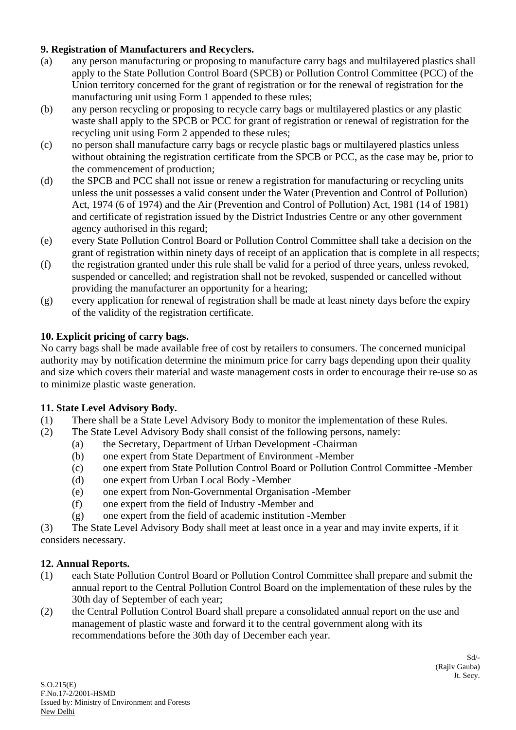## **9. Registration of Manufacturers and Recyclers.**

- (a) any person manufacturing or proposing to manufacture carry bags and multilayered plastics shall apply to the State Pollution Control Board (SPCB) or Pollution Control Committee (PCC) of the Union territory concerned for the grant of registration or for the renewal of registration for the manufacturing unit using Form 1 appended to these rules;
- (b) any person recycling or proposing to recycle carry bags or multilayered plastics or any plastic waste shall apply to the SPCB or PCC for grant of registration or renewal of registration for the recycling unit using Form 2 appended to these rules;
- (c) no person shall manufacture carry bags or recycle plastic bags or multilayered plastics unless without obtaining the registration certificate from the SPCB or PCC, as the case may be, prior to the commencement of production;
- (d) the SPCB and PCC shall not issue or renew a registration for manufacturing or recycling units unless the unit possesses a valid consent under the Water (Prevention and Control of Pollution) Act, 1974 (6 of 1974) and the Air (Prevention and Control of Pollution) Act, 1981 (14 of 1981) and certificate of registration issued by the District Industries Centre or any other government agency authorised in this regard;
- (e) every State Pollution Control Board or Pollution Control Committee shall take a decision on the grant of registration within ninety days of receipt of an application that is complete in all respects;
- (f) the registration granted under this rule shall be valid for a period of three years, unless revoked, suspended or cancelled; and registration shall not be revoked, suspended or cancelled without providing the manufacturer an opportunity for a hearing;
- (g) every application for renewal of registration shall be made at least ninety days before the expiry of the validity of the registration certificate.

## **10. Explicit pricing of carry bags.**

No carry bags shall be made available free of cost by retailers to consumers. The concerned municipal authority may by notification determine the minimum price for carry bags depending upon their quality and size which covers their material and waste management costs in order to encourage their re-use so as to minimize plastic waste generation.

# **11. State Level Advisory Body.**

- (1) There shall be a State Level Advisory Body to monitor the implementation of these Rules.
- (2) The State Level Advisory Body shall consist of the following persons, namely:
	- (a) the Secretary, Department of Urban Development -Chairman
	- (b) one expert from State Department of Environment -Member
	- (c) one expert from State Pollution Control Board or Pollution Control Committee -Member
	- (d) one expert from Urban Local Body -Member
	- (e) one expert from Non-Governmental Organisation -Member
	- (f) one expert from the field of Industry -Member and
	- (g) one expert from the field of academic institution -Member

(3) The State Level Advisory Body shall meet at least once in a year and may invite experts, if it considers necessary.

#### **12. Annual Reports.**

- (1) each State Pollution Control Board or Pollution Control Committee shall prepare and submit the annual report to the Central Pollution Control Board on the implementation of these rules by the 30th day of September of each year;
- (2) the Central Pollution Control Board shall prepare a consolidated annual report on the use and management of plastic waste and forward it to the central government along with its recommendations before the 30th day of December each year.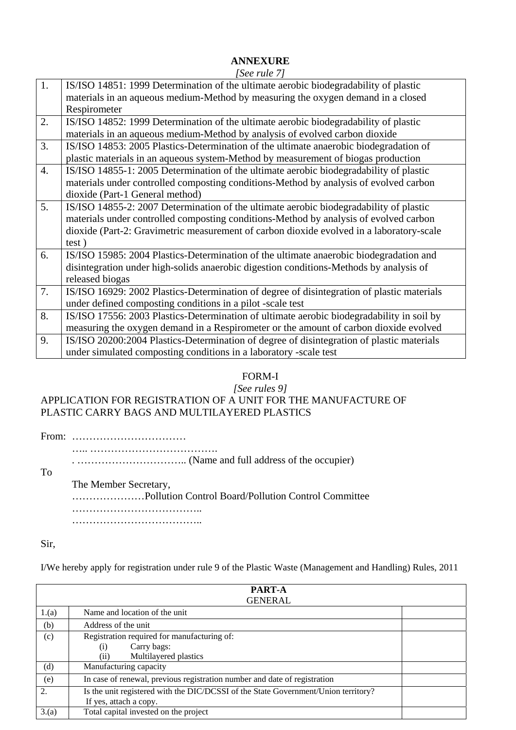# **ANNEXURE**

*[See rule 7]*

| 1.               | IS/ISO 14851: 1999 Determination of the ultimate aerobic biodegradability of plastic       |
|------------------|--------------------------------------------------------------------------------------------|
|                  | materials in an aqueous medium-Method by measuring the oxygen demand in a closed           |
|                  | Respirometer                                                                               |
| 2.               | IS/ISO 14852: 1999 Determination of the ultimate aerobic biodegradability of plastic       |
|                  | materials in an aqueous medium-Method by analysis of evolved carbon dioxide                |
| 3.               | IS/ISO 14853: 2005 Plastics-Determination of the ultimate anaerobic biodegradation of      |
|                  | plastic materials in an aqueous system-Method by measurement of biogas production          |
| $\overline{4}$ . | IS/ISO 14855-1: 2005 Determination of the ultimate aerobic biodegradability of plastic     |
|                  | materials under controlled composting conditions-Method by analysis of evolved carbon      |
|                  | dioxide (Part-1 General method)                                                            |
| 5.               | IS/ISO 14855-2: 2007 Determination of the ultimate aerobic biodegradability of plastic     |
|                  | materials under controlled composting conditions-Method by analysis of evolved carbon      |
|                  | dioxide (Part-2: Gravimetric measurement of carbon dioxide evolved in a laboratory-scale   |
|                  | test)                                                                                      |
| 6.               | IS/ISO 15985: 2004 Plastics-Determination of the ultimate anaerobic biodegradation and     |
|                  | disintegration under high-solids anaerobic digestion conditions-Methods by analysis of     |
|                  | released biogas                                                                            |
| 7.               | IS/ISO 16929: 2002 Plastics-Determination of degree of disintegration of plastic materials |
|                  | under defined composting conditions in a pilot -scale test                                 |
| 8.               | IS/ISO 17556: 2003 Plastics-Determination of ultimate aerobic biodegradability in soil by  |
|                  | measuring the oxygen demand in a Respirometer or the amount of carbon dioxide evolved      |
| 9.               | IS/ISO 20200:2004 Plastics-Determination of degree of disintegration of plastic materials  |
|                  | under simulated composting conditions in a laboratory -scale test                          |
|                  |                                                                                            |

# FORM-I

#### *[See rules 9]* APPLICATION FOR REGISTRATION OF A UNIT FOR THE MANUFACTURE OF PLASTIC CARRY BAGS AND MULTILAYERED PLASTICS

From: ……………………………

…………………………………………

. ………………………….. (Name and full address of the occupier)

To

The Member Secretary,

…………………Pollution Control Board/Pollution Control Committee ……………………………….. ………………………………..

Sir,

I/We hereby apply for registration under rule 9 of the Plastic Waste (Management and Handling) Rules, 2011

|         | <b>PART-A</b>                                                                      |  |  |
|---------|------------------------------------------------------------------------------------|--|--|
| GENERAL |                                                                                    |  |  |
| 1.(a)   | Name and location of the unit                                                      |  |  |
| (b)     | Address of the unit                                                                |  |  |
| (c)     | Registration required for manufacturing of:                                        |  |  |
|         | Carry bags:<br>$\left( i\right)$                                                   |  |  |
|         | Multilayered plastics<br>(ii)                                                      |  |  |
| (d)     | Manufacturing capacity                                                             |  |  |
| (e)     | In case of renewal, previous registration number and date of registration          |  |  |
| 2.      | Is the unit registered with the DIC/DCSSI of the State Government/Union territory? |  |  |
|         | If yes, attach a copy.                                                             |  |  |
| 3(a)    | Total capital invested on the project                                              |  |  |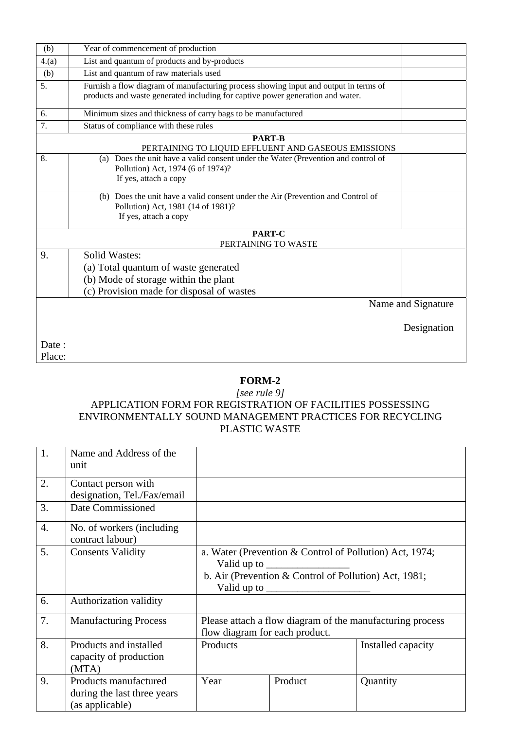| (b)              | Year of commencement of production                                                                                                                                     |                    |  |
|------------------|------------------------------------------------------------------------------------------------------------------------------------------------------------------------|--------------------|--|
| 4(a)             | List and quantum of products and by-products                                                                                                                           |                    |  |
| (b)              | List and quantum of raw materials used                                                                                                                                 |                    |  |
| 5.               | Furnish a flow diagram of manufacturing process showing input and output in terms of<br>products and waste generated including for captive power generation and water. |                    |  |
| 6.               | Minimum sizes and thickness of carry bags to be manufactured                                                                                                           |                    |  |
| 7.               | Status of compliance with these rules                                                                                                                                  |                    |  |
|                  | <b>PART-B</b><br>PERTAINING TO LIQUID EFFLUENT AND GASEOUS EMISSIONS                                                                                                   |                    |  |
| 8.               | (a) Does the unit have a valid consent under the Water (Prevention and control of<br>Pollution) Act, 1974 (6 of 1974)?<br>If yes, attach a copy                        |                    |  |
|                  | (b) Does the unit have a valid consent under the Air (Prevention and Control of<br>Pollution) Act, 1981 (14 of 1981)?<br>If yes, attach a copy                         |                    |  |
|                  | PART-C<br>PERTAINING TO WASTE                                                                                                                                          |                    |  |
| 9.               | <b>Solid Wastes:</b><br>(a) Total quantum of waste generated<br>(b) Mode of storage within the plant<br>(c) Provision made for disposal of wastes                      |                    |  |
|                  |                                                                                                                                                                        | Name and Signature |  |
|                  |                                                                                                                                                                        | Designation        |  |
| Date :<br>Place: |                                                                                                                                                                        |                    |  |

#### **FORM-2**

#### *[see rule 9]* APPLICATION FORM FOR REGISTRATION OF FACILITIES POSSESSING ENVIRONMENTALLY SOUND MANAGEMENT PRACTICES FOR RECYCLING PLASTIC WASTE

| 1.               | Name and Address of the<br>unit                                         |                                                                                                                                                                                                                                                                           |         |                    |
|------------------|-------------------------------------------------------------------------|---------------------------------------------------------------------------------------------------------------------------------------------------------------------------------------------------------------------------------------------------------------------------|---------|--------------------|
| 2.               | Contact person with<br>designation, Tel./Fax/email                      |                                                                                                                                                                                                                                                                           |         |                    |
| 3.               | Date Commissioned                                                       |                                                                                                                                                                                                                                                                           |         |                    |
| $\overline{4}$ . | No. of workers (including<br>contract labour)                           |                                                                                                                                                                                                                                                                           |         |                    |
| 5.               | <b>Consents Validity</b>                                                | a. Water (Prevention & Control of Pollution) Act, 1974;<br>Valid up to $\frac{1}{\sqrt{1-\frac{1}{2}}\sqrt{1-\frac{1}{2}}\left\vert \frac{1}{2}+1\right\vert }$<br>b. Air (Prevention & Control of Pollution) Act, 1981;<br>Valid up to $\frac{\phantom{1}}{\phantom{1}}$ |         |                    |
| 6.               | Authorization validity                                                  |                                                                                                                                                                                                                                                                           |         |                    |
| 7.               | <b>Manufacturing Process</b>                                            | Please attach a flow diagram of the manufacturing process<br>flow diagram for each product.                                                                                                                                                                               |         |                    |
| 8.               | Products and installed<br>capacity of production<br>(MTA)               | Products                                                                                                                                                                                                                                                                  |         | Installed capacity |
| 9.               | Products manufactured<br>during the last three years<br>(as applicable) | Year                                                                                                                                                                                                                                                                      | Product | Quantity           |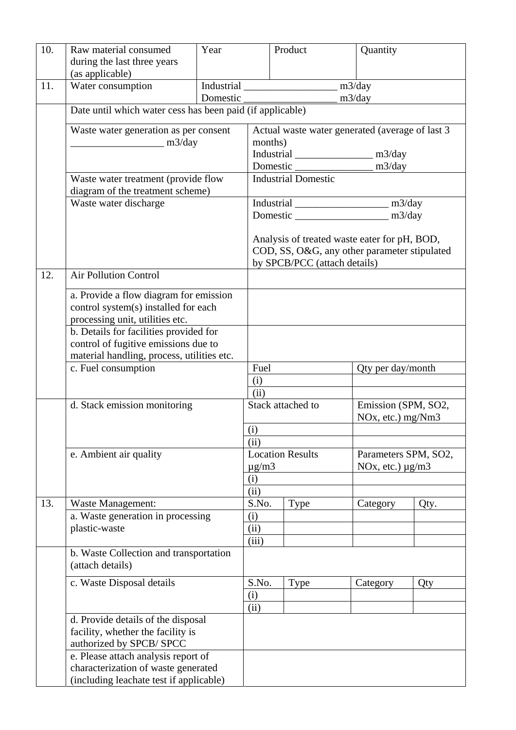| 10. | Raw material consumed<br>during the last three years<br>(as applicable)         | Year |                                                                              | Product                 | Quantity              |                                          |  |
|-----|---------------------------------------------------------------------------------|------|------------------------------------------------------------------------------|-------------------------|-----------------------|------------------------------------------|--|
| 11. | Water consumption                                                               |      |                                                                              |                         |                       |                                          |  |
|     | m3/day<br>Domestic<br>Date until which water cess has been paid (if applicable) |      |                                                                              |                         |                       |                                          |  |
|     |                                                                                 |      |                                                                              |                         |                       |                                          |  |
|     | Waste water generation as per consent<br>m3/day                                 |      | Actual waste water generated (average of last 3<br>months)                   |                         |                       |                                          |  |
|     |                                                                                 |      |                                                                              |                         |                       |                                          |  |
|     |                                                                                 |      |                                                                              |                         |                       |                                          |  |
|     | Waste water treatment (provide flow<br>diagram of the treatment scheme)         |      | <b>Industrial Domestic</b>                                                   |                         |                       |                                          |  |
|     | Waste water discharge                                                           |      |                                                                              |                         |                       |                                          |  |
|     |                                                                                 |      |                                                                              |                         |                       |                                          |  |
|     |                                                                                 |      |                                                                              |                         |                       |                                          |  |
|     |                                                                                 |      | Analysis of treated waste eater for pH, BOD,                                 |                         |                       |                                          |  |
|     |                                                                                 |      | COD, SS, O&G, any other parameter stipulated<br>by SPCB/PCC (attach details) |                         |                       |                                          |  |
| 12. | <b>Air Pollution Control</b>                                                    |      |                                                                              |                         |                       |                                          |  |
|     | a. Provide a flow diagram for emission                                          |      |                                                                              |                         |                       |                                          |  |
|     | control system(s) installed for each                                            |      |                                                                              |                         |                       |                                          |  |
|     | processing unit, utilities etc.                                                 |      |                                                                              |                         |                       |                                          |  |
|     | b. Details for facilities provided for                                          |      |                                                                              |                         |                       |                                          |  |
|     | control of fugitive emissions due to                                            |      |                                                                              |                         |                       |                                          |  |
|     | material handling, process, utilities etc.<br>c. Fuel consumption               |      | Fuel                                                                         |                         | Qty per day/month     |                                          |  |
|     |                                                                                 |      | (i)                                                                          |                         |                       |                                          |  |
|     |                                                                                 |      | (ii)                                                                         |                         |                       |                                          |  |
|     | d. Stack emission monitoring<br>e. Ambient air quality                          |      | Stack attached to                                                            |                         |                       | Emission (SPM, SO2,<br>NOx, etc.) mg/Nm3 |  |
|     |                                                                                 |      | (i)                                                                          |                         |                       |                                          |  |
|     |                                                                                 |      | (ii)                                                                         |                         |                       |                                          |  |
|     |                                                                                 |      |                                                                              | <b>Location Results</b> |                       | Parameters SPM, SO2,                     |  |
|     |                                                                                 |      | $\mu$ g/m $3$<br>(i)                                                         |                         | NOx, etc.) $\mu$ g/m3 |                                          |  |
|     |                                                                                 |      | (ii)                                                                         |                         |                       |                                          |  |
| 13. | <b>Waste Management:</b>                                                        |      | S.No.                                                                        | Type                    | Category              | Qty.                                     |  |
|     | a. Waste generation in processing<br>plastic-waste                              |      | (i)                                                                          |                         |                       |                                          |  |
|     |                                                                                 |      | (ii)                                                                         |                         |                       |                                          |  |
|     | b. Waste Collection and transportation                                          |      | (iii)                                                                        |                         |                       |                                          |  |
|     | (attach details)                                                                |      |                                                                              |                         |                       |                                          |  |
|     | c. Waste Disposal details                                                       |      | S.No.                                                                        | Type                    | Category              | Qty                                      |  |
|     |                                                                                 |      | (i)                                                                          |                         |                       |                                          |  |
|     | d. Provide details of the disposal                                              |      | (ii)                                                                         |                         |                       |                                          |  |
|     | facility, whether the facility is                                               |      |                                                                              |                         |                       |                                          |  |
|     | authorized by SPCB/SPCC                                                         |      |                                                                              |                         |                       |                                          |  |
|     | e. Please attach analysis report of                                             |      |                                                                              |                         |                       |                                          |  |
|     |                                                                                 |      |                                                                              |                         |                       |                                          |  |
|     | characterization of waste generated<br>(including leachate test if applicable)  |      |                                                                              |                         |                       |                                          |  |